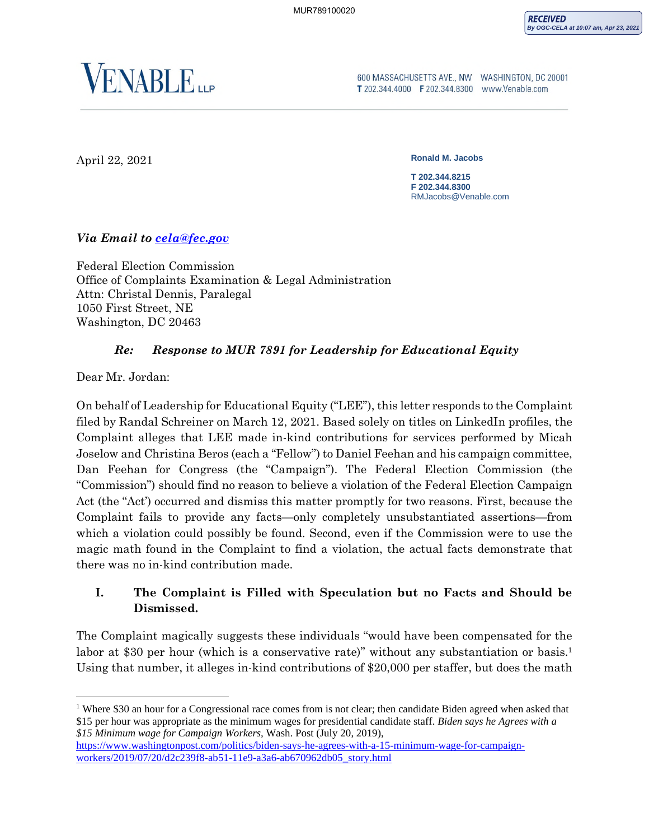

600 MASSACHUSETTS AVE., NW WASHINGTON, DC 20001 T 202.344.4000 F 202.344.8300 www.Venable.com

April 22, 2021

**Ronald M. Jacobs** 

**T 202.344.8215 F 202.344.8300** RMJacobs@Venable.com

*Via Email to cela@fec.gov*

Federal Election Commission Office of Complaints Examination & Legal Administration Attn: Christal Dennis, Paralegal 1050 First Street, NE Washington, DC 20463

## *Re: Response to MUR 7891 for Leadership for Educational Equity*

Dear Mr. Jordan:

On behalf of Leadership for Educational Equity ("LEE"), this letter responds to the Complaint filed by Randal Schreiner on March 12, 2021. Based solely on titles on LinkedIn profiles, the Complaint alleges that LEE made in-kind contributions for services performed by Micah Joselow and Christina Beros (each a "Fellow") to Daniel Feehan and his campaign committee, Dan Feehan for Congress (the "Campaign"). The Federal Election Commission (the "Commission") should find no reason to believe a violation of the Federal Election Campaign Act (the "Act') occurred and dismiss this matter promptly for two reasons. First, because the Complaint fails to provide any facts—only completely unsubstantiated assertions—from which a violation could possibly be found. Second, even if the Commission were to use the magic math found in the Complaint to find a violation, the actual facts demonstrate that there was no in-kind contribution made.

# **I. The Complaint is Filled with Speculation but no Facts and Should be Dismissed.**

The Complaint magically suggests these individuals "would have been compensated for the labor at \$30 per hour (which is a conservative rate)" without any substantiation or basis.<sup>1</sup> Using that number, it alleges in-kind contributions of \$20,000 per staffer, but does the math

<sup>&</sup>lt;sup>1</sup> Where \$30 an hour for a Congressional race comes from is not clear; then candidate Biden agreed when asked that \$15 per hour was appropriate as the minimum wages for presidential candidate staff. *Biden says he Agrees with a \$15 Minimum wage for Campaign Workers,* Wash. Post (July 20, 2019),

https://www.washingtonpost.com/politics/biden-says-he-agrees-with-a-15-minimum-wage-for-campaignworkers/2019/07/20/d2c239f8-ab51-11e9-a3a6-ab670962db05\_story.html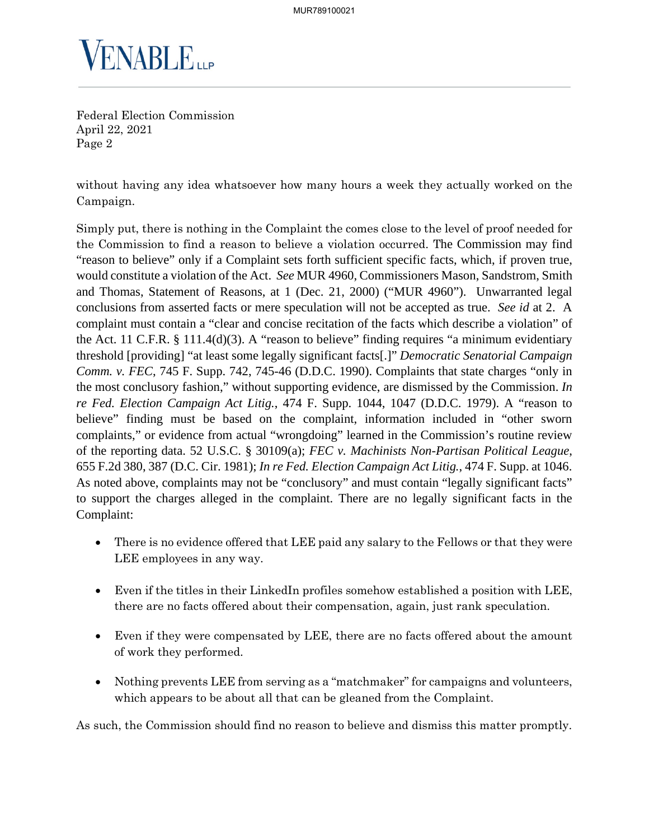

without having any idea whatsoever how many hours a week they actually worked on the Campaign.

Simply put, there is nothing in the Complaint the comes close to the level of proof needed for the Commission to find a reason to believe a violation occurred. The Commission may find "reason to believe" only if a Complaint sets forth sufficient specific facts, which, if proven true, would constitute a violation of the Act. *See* MUR 4960, Commissioners Mason, Sandstrom, Smith and Thomas, Statement of Reasons, at 1 (Dec. 21, 2000) ("MUR 4960"). Unwarranted legal conclusions from asserted facts or mere speculation will not be accepted as true. *See id* at 2. A complaint must contain a "clear and concise recitation of the facts which describe a violation" of the Act. 11 C.F.R. § 111.4(d)(3). A "reason to believe" finding requires "a minimum evidentiary threshold [providing] "at least some legally significant facts[.]" *Democratic Senatorial Campaign Comm. v. FEC*, 745 F. Supp. 742, 745-46 (D.D.C. 1990). Complaints that state charges "only in the most conclusory fashion," without supporting evidence, are dismissed by the Commission. *In re Fed. Election Campaign Act Litig.*, 474 F. Supp. 1044, 1047 (D.D.C. 1979). A "reason to believe" finding must be based on the complaint, information included in "other sworn complaints," or evidence from actual "wrongdoing" learned in the Commission's routine review of the reporting data. 52 U.S.C. § 30109(a); *FEC v. Machinists Non-Partisan Political League*, 655 F.2d 380, 387 (D.C. Cir. 1981); *In re Fed. Election Campaign Act Litig.*, 474 F. Supp. at 1046. As noted above, complaints may not be "conclusory" and must contain "legally significant facts" to support the charges alleged in the complaint. There are no legally significant facts in the Complaint:

- There is no evidence offered that LEE paid any salary to the Fellows or that they were LEE employees in any way.
- Even if the titles in their LinkedIn profiles somehow established a position with LEE, there are no facts offered about their compensation, again, just rank speculation.
- Even if they were compensated by LEE, there are no facts offered about the amount of work they performed.
- Nothing prevents LEE from serving as a "matchmaker" for campaigns and volunteers, which appears to be about all that can be gleaned from the Complaint.

As such, the Commission should find no reason to believe and dismiss this matter promptly.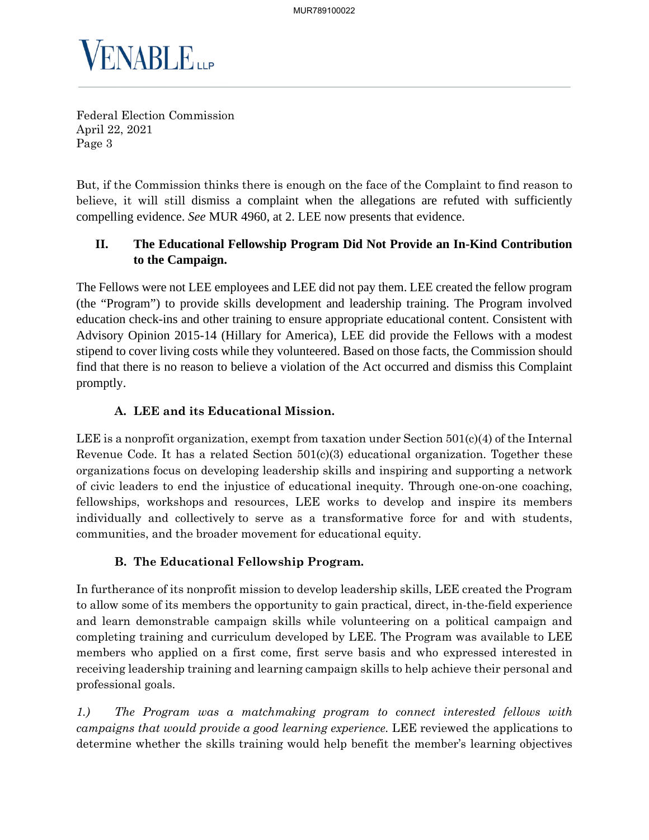

But, if the Commission thinks there is enough on the face of the Complaint to find reason to believe, it will still dismiss a complaint when the allegations are refuted with sufficiently compelling evidence. *See* MUR 4960, at 2. LEE now presents that evidence.

# **II. The Educational Fellowship Program Did Not Provide an In-Kind Contribution to the Campaign.**

The Fellows were not LEE employees and LEE did not pay them. LEE created the fellow program (the "Program") to provide skills development and leadership training. The Program involved education check-ins and other training to ensure appropriate educational content. Consistent with Advisory Opinion 2015-14 (Hillary for America), LEE did provide the Fellows with a modest stipend to cover living costs while they volunteered. Based on those facts, the Commission should find that there is no reason to believe a violation of the Act occurred and dismiss this Complaint promptly.

# **A. LEE and its Educational Mission.**

LEE is a nonprofit organization, exempt from taxation under Section  $501(c)(4)$  of the Internal Revenue Code. It has a related Section 501(c)(3) educational organization. Together these organizations focus on developing leadership skills and inspiring and supporting a network of civic leaders to end the injustice of educational inequity. Through one-on-one coaching, fellowships, workshops and resources, LEE works to develop and inspire its members individually and collectively to serve as a transformative force for and with students, communities, and the broader movement for educational equity.

## **B. The Educational Fellowship Program.**

In furtherance of its nonprofit mission to develop leadership skills, LEE created the Program to allow some of its members the opportunity to gain practical, direct, in-the-field experience and learn demonstrable campaign skills while volunteering on a political campaign and completing training and curriculum developed by LEE. The Program was available to LEE members who applied on a first come, first serve basis and who expressed interested in receiving leadership training and learning campaign skills to help achieve their personal and professional goals.

*1.) The Program was a matchmaking program to connect interested fellows with campaigns that would provide a good learning experience.* LEE reviewed the applications to determine whether the skills training would help benefit the member's learning objectives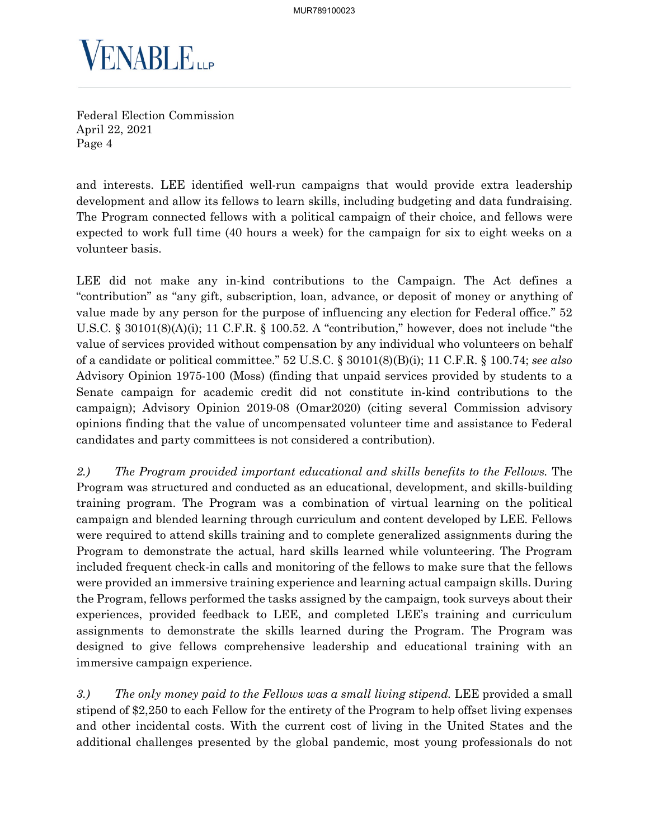

and interests. LEE identified well-run campaigns that would provide extra leadership development and allow its fellows to learn skills, including budgeting and data fundraising. The Program connected fellows with a political campaign of their choice, and fellows were expected to work full time (40 hours a week) for the campaign for six to eight weeks on a volunteer basis.

LEE did not make any in-kind contributions to the Campaign. The Act defines a "contribution" as "any gift, subscription, loan, advance, or deposit of money or anything of value made by any person for the purpose of influencing any election for Federal office." 52 U.S.C. § 30101(8)(A)(i); 11 C.F.R. § 100.52. A "contribution," however, does not include "the value of services provided without compensation by any individual who volunteers on behalf of a candidate or political committee." 52 U.S.C. § 30101(8)(B)(i); 11 C.F.R. § 100.74; *see also* Advisory Opinion 1975-100 (Moss) (finding that unpaid services provided by students to a Senate campaign for academic credit did not constitute in-kind contributions to the campaign); Advisory Opinion 2019-08 (Omar2020) (citing several Commission advisory opinions finding that the value of uncompensated volunteer time and assistance to Federal candidates and party committees is not considered a contribution).

*2.) The Program provided important educational and skills benefits to the Fellows.* The Program was structured and conducted as an educational, development, and skills-building training program. The Program was a combination of virtual learning on the political campaign and blended learning through curriculum and content developed by LEE. Fellows were required to attend skills training and to complete generalized assignments during the Program to demonstrate the actual, hard skills learned while volunteering. The Program included frequent check-in calls and monitoring of the fellows to make sure that the fellows were provided an immersive training experience and learning actual campaign skills. During the Program, fellows performed the tasks assigned by the campaign, took surveys about their experiences, provided feedback to LEE, and completed LEE's training and curriculum assignments to demonstrate the skills learned during the Program. The Program was designed to give fellows comprehensive leadership and educational training with an immersive campaign experience.

*3.) The only money paid to the Fellows was a small living stipend.* LEE provided a small stipend of \$2,250 to each Fellow for the entirety of the Program to help offset living expenses and other incidental costs. With the current cost of living in the United States and the additional challenges presented by the global pandemic, most young professionals do not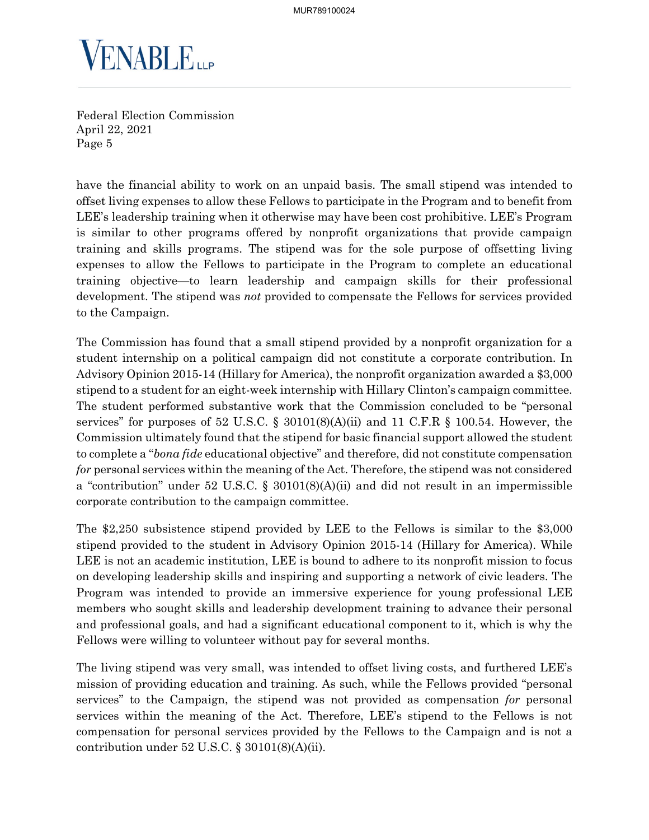

have the financial ability to work on an unpaid basis. The small stipend was intended to offset living expenses to allow these Fellows to participate in the Program and to benefit from LEE's leadership training when it otherwise may have been cost prohibitive. LEE's Program is similar to other programs offered by nonprofit organizations that provide campaign training and skills programs. The stipend was for the sole purpose of offsetting living expenses to allow the Fellows to participate in the Program to complete an educational training objective—to learn leadership and campaign skills for their professional development. The stipend was *not* provided to compensate the Fellows for services provided to the Campaign.

The Commission has found that a small stipend provided by a nonprofit organization for a student internship on a political campaign did not constitute a corporate contribution. In Advisory Opinion 2015-14 (Hillary for America), the nonprofit organization awarded a \$3,000 stipend to a student for an eight-week internship with Hillary Clinton's campaign committee. The student performed substantive work that the Commission concluded to be "personal services" for purposes of 52 U.S.C.  $\S$  30101(8)(A)(ii) and 11 C.F.R  $\S$  100.54. However, the Commission ultimately found that the stipend for basic financial support allowed the student to complete a "*bona fide* educational objective" and therefore, did not constitute compensation *for* personal services within the meaning of the Act. Therefore, the stipend was not considered a "contribution" under 52 U.S.C. § 30101(8)(A)(ii) and did not result in an impermissible corporate contribution to the campaign committee.

The \$2,250 subsistence stipend provided by LEE to the Fellows is similar to the \$3,000 stipend provided to the student in Advisory Opinion 2015-14 (Hillary for America). While LEE is not an academic institution, LEE is bound to adhere to its nonprofit mission to focus on developing leadership skills and inspiring and supporting a network of civic leaders. The Program was intended to provide an immersive experience for young professional LEE members who sought skills and leadership development training to advance their personal and professional goals, and had a significant educational component to it, which is why the Fellows were willing to volunteer without pay for several months.

The living stipend was very small, was intended to offset living costs, and furthered LEE's mission of providing education and training. As such, while the Fellows provided "personal services" to the Campaign, the stipend was not provided as compensation *for* personal services within the meaning of the Act. Therefore, LEE's stipend to the Fellows is not compensation for personal services provided by the Fellows to the Campaign and is not a contribution under  $52 \text{ U.S.C.}$  §  $30101(8)(\text{A})(\text{ii}).$